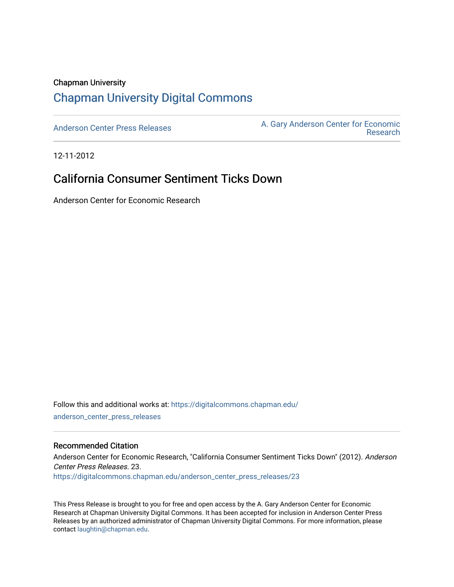#### Chapman University

## [Chapman University Digital Commons](https://digitalcommons.chapman.edu/)

[Anderson Center Press Releases](https://digitalcommons.chapman.edu/anderson_center_press_releases) Anderson Center for Economic A. Gary Anderson Center for Economic [Research](https://digitalcommons.chapman.edu/anderson_center) 

12-11-2012

## California Consumer Sentiment Ticks Down

Anderson Center for Economic Research

Follow this and additional works at: [https://digitalcommons.chapman.edu/](https://digitalcommons.chapman.edu/anderson_center_press_releases?utm_source=digitalcommons.chapman.edu%2Fanderson_center_press_releases%2F23&utm_medium=PDF&utm_campaign=PDFCoverPages) [anderson\\_center\\_press\\_releases](https://digitalcommons.chapman.edu/anderson_center_press_releases?utm_source=digitalcommons.chapman.edu%2Fanderson_center_press_releases%2F23&utm_medium=PDF&utm_campaign=PDFCoverPages)

#### Recommended Citation

Anderson Center for Economic Research, "California Consumer Sentiment Ticks Down" (2012). Anderson Center Press Releases. 23.

[https://digitalcommons.chapman.edu/anderson\\_center\\_press\\_releases/23](https://digitalcommons.chapman.edu/anderson_center_press_releases/23?utm_source=digitalcommons.chapman.edu%2Fanderson_center_press_releases%2F23&utm_medium=PDF&utm_campaign=PDFCoverPages)

This Press Release is brought to you for free and open access by the A. Gary Anderson Center for Economic Research at Chapman University Digital Commons. It has been accepted for inclusion in Anderson Center Press Releases by an authorized administrator of Chapman University Digital Commons. For more information, please contact [laughtin@chapman.edu](mailto:laughtin@chapman.edu).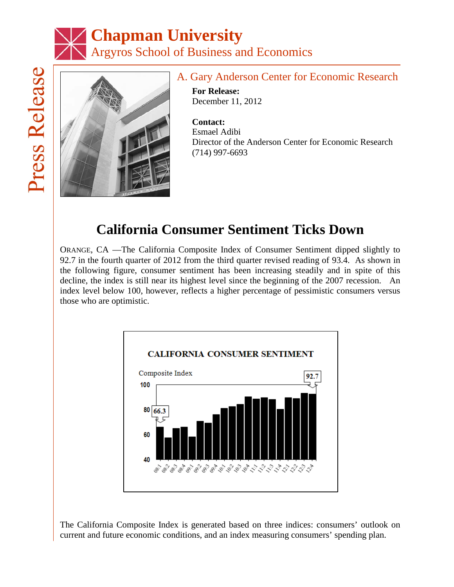# **Chapman University** rArgyros School of Business and Economics



## A. Gary Anderson Center for Economic Research

**For Release:** December 11, 2012

**Contact:** Esmael Adibi Director of the Anderson Center for Economic Research (714) 997-6693

# **California Consumer Sentiment Ticks Down**

ORANGE, CA —The California Composite Index of Consumer Sentiment dipped slightly to 92.7 in the fourth quarter of 2012 from the third quarter revised reading of 93.4. As shown in the following figure, consumer sentiment has been increasing steadily and in spite of this decline, the index is still near its highest level since the beginning of the 2007 recession. An index level below 100, however, reflects a higher percentage of pessimistic consumers versus those who are optimistic.



The California Composite Index is generated based on three indices: consumers' outlook on current and future economic conditions, and an index measuring consumers' spending plan.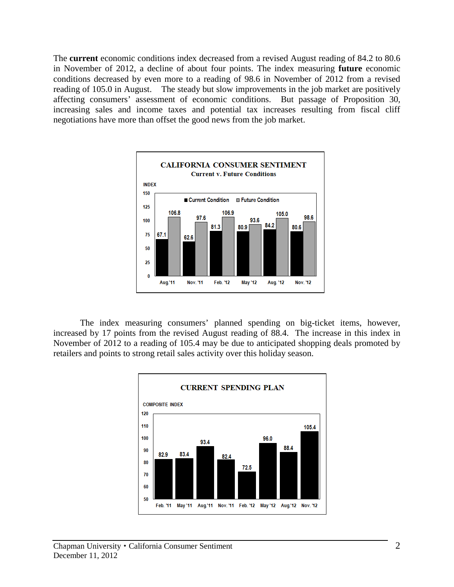The **current** economic conditions index decreased from a revised August reading of 84.2 to 80.6 in November of 2012, a decline of about four points. The index measuring **future** economic conditions decreased by even more to a reading of 98.6 in November of 2012 from a revised reading of 105.0 in August. The steady but slow improvements in the job market are positively affecting consumers' assessment of economic conditions. But passage of Proposition 30, increasing sales and income taxes and potential tax increases resulting from fiscal cliff negotiations have more than offset the good news from the job market.



The index measuring consumers' planned spending on big-ticket items, however, increased by 17 points from the revised August reading of 88.4. The increase in this index in November of 2012 to a reading of 105.4 may be due to anticipated shopping deals promoted by retailers and points to strong retail sales activity over this holiday season.

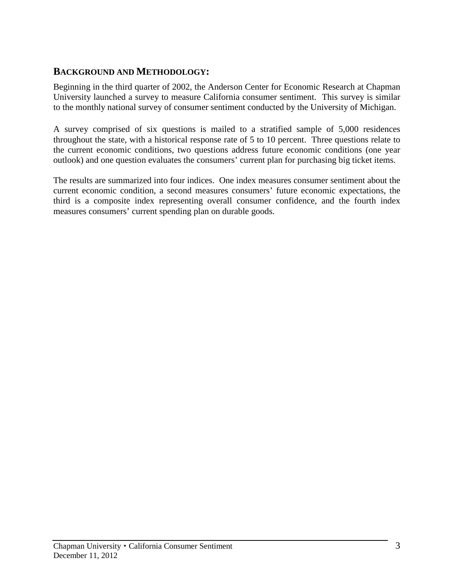### **BACKGROUND AND METHODOLOGY:**

Beginning in the third quarter of 2002, the Anderson Center for Economic Research at Chapman University launched a survey to measure California consumer sentiment. This survey is similar to the monthly national survey of consumer sentiment conducted by the University of Michigan.

A survey comprised of six questions is mailed to a stratified sample of 5,000 residences throughout the state, with a historical response rate of 5 to 10 percent. Three questions relate to the current economic conditions, two questions address future economic conditions (one year outlook) and one question evaluates the consumers' current plan for purchasing big ticket items.

The results are summarized into four indices. One index measures consumer sentiment about the current economic condition, a second measures consumers' future economic expectations, the third is a composite index representing overall consumer confidence, and the fourth index measures consumers' current spending plan on durable goods.